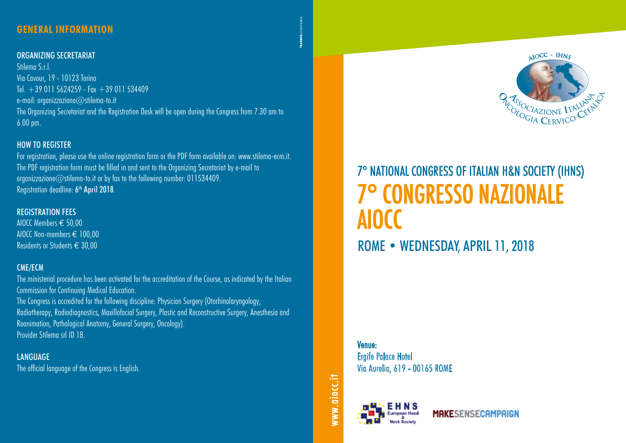# **General INFORMATION**

#### ORGANIZING SECRETARIAT

Stilema S.r.l. Via Cavour, 19 - 10123 Torino Tel.  $+390115624259 - Fax + 39011534409$ e-mail: organizzazione@stilema-to.it The Organizing Secretariat and the Registration Desk will be open during the Congress from 7.30 am to 6.00 pm.

## HOW TO REGISTER

For registration, please use the online registration form or the PDF form available on: www.stilema-ecm.it. The PDF registration form must be filled in and sent to the Organizing Secretariat by e-mail to organizzazione@stilema-to.it or by fax to the following number: 011534409. Registration deadline: 6<sup>th</sup> April 2018.

# REGISTRATION FEES

AIOCC Members € 50,00 AIOCC Non-members € 100,00 Residents or Students € 30,00

# CME/ECM

The ministerial procedure has been activated for the accreditation of the Course, as indicated by the Italian Commission for Continuing Medical Education.

The Congress is accredited for the following discipline: Physician Surgery (Otorhinolaryngology, Radiotherapy, Radiodiagnostics, Maxillofacial Surgery, Plastic and Reconstructive Surgery, Anesthesia and Reanimation, Pathological Anatomy, General Surgery, Oncology). Provider Stilema srl ID 18.

**LANGUAGE** The official language of the Congress is English.



 $MOCC - H N S$ 

**A TOSOCIAZIONE ITALIANES** 

Venue: Ergife Palace Hotel Via Aurelia, 619 - 00165 ROME



www.aiocc.it

www.aiocc.it

**MAKESENSECAMPAIGN**